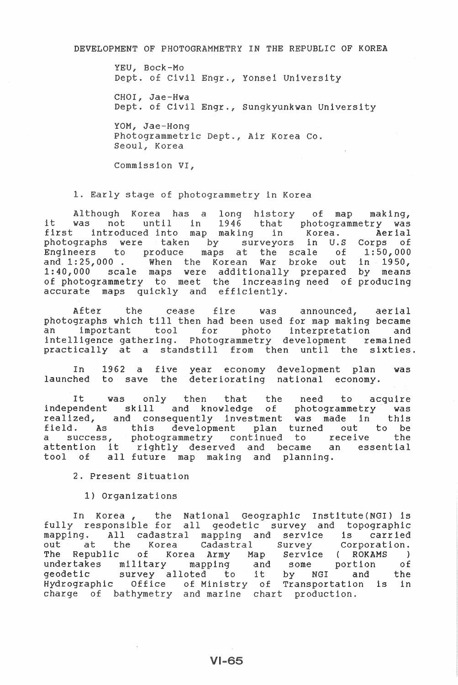DEVELOPMENT OF PHOTOGRAMMETRY IN THE REPUBLIC OF KOREA

YEU, Bock-Mo Dept. of Civil Engr., Yonsei University

CHOI, Jae-Hwa Dept. of Civil Engr., Sungkyunkwan University

YOM, Jae-Hong Photogrammetric Dept., Air Korea Co. Seoul, Korea

Commission VI.

1. Early stage of photogrammetry in Korea

Although Korea has a long history of map making, it was not until in 1946 that photogrammetry was<br>first introduced into map making in Korea. Aerial first introduced into map making in Korea. Aerial<br>photographs were taken by surveyors in U.S Corps of 1:50,000 Engineers to produce maps at the scale  $\circ$  f and 1:25,000. When the Korean War broke out in 1950, 1:40,000 scale maps were additionally prepared by means of photogrammetry to meet the increasing need of producing accurate maps quickly and efficiently.

After the cease fire was announced, aerial photographs which till then had been used for map making became an important tool for photo interpretation and intelligence gathering. Photogrammetry development remained practically at a standstill from then until the sixties.

1962 a five year economy development plan was  $Tn$ launched to save the deteriorating national economy.

only then that the need was It. to acquire independent skill and knowledge of photogrammetry was<br>realized, and consequently investment was made in this field. As this development plan turned out to be<br>a success, photogrammetry continued to receive the<br>attention it rightly deserved and became an essential all future map making and planning. tool of

2. Present Situation

1) Organizations

In Korea, the National Geographic Institute(NGI) is fully responsible for all geodetic survey and topographic mapping. All cadastral mapping and service is carried the Korea Cadastral Survey out at Corporation. The Republic of Korea Army Map Service (ROKAMS ) undertakes military mapping and some portion of<br>geodetic survey alloted to it by NGI and the<br>Hydrographic Office of Ministry of Transportation is in charge of bathymetry and marine chart production.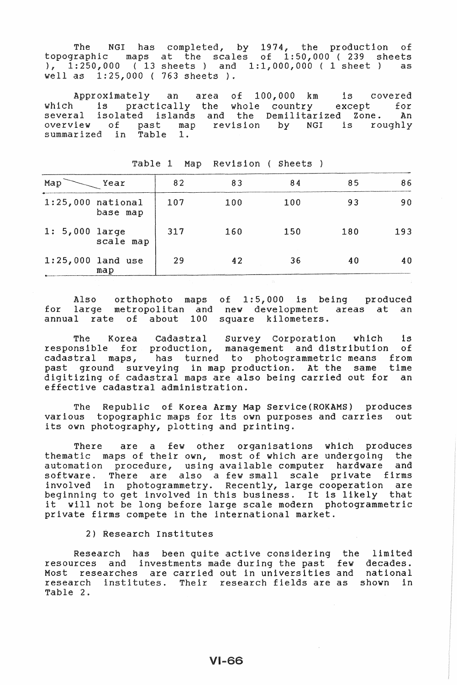The NGI has completed, by 1974, the production of topographic maps at the scales of 1:50,000 (239 sheets ), 1:250,000 (13 sheets) and 1:1,000,000 ( 1 sheet) as well as 1:25,000 ( 763 sheets ).

Approximately an area of 100,000 km is covered which is practically the whole country except for several isolated islands overview of past map overview of past map revision by<br>summarized in Table 1. and the Demilitarized Zone. An NGI is roughly

| Map                 | Year                       | 82  | 83  | 84  | 85  | 86  |
|---------------------|----------------------------|-----|-----|-----|-----|-----|
| $1:25,000$ national | base map                   | 107 | 100 | 100 | 93  | 90  |
| $1: 5,000$ large    | scale map                  | 317 | 160 | 150 | 180 | 193 |
|                     | $1:25,000$ land use<br>map | 29  | 42  | 36  | 40  | 40  |

Table 1 Map Revision ( Sheets )

Also orthophoto maps of 1:5,000 is being produced for large metropolitan and new development areas at an annual rate of about 100 square kilometers.

The Korea cadastral Survey Corporation which is responsible for production, management and distribution of responsible for production, management and distribution of<br>cadastral maps, has turned to photogrammetric means from past ground surveying in map production. At the same time digitizing of cadastral maps are also being carried out for an effective cadastral administration.

The Republic of Korea Army Map Service(ROKAMS) produces various topographic maps for its own purposes and carries out its own photography, plotting and printing.

There are a few other organisations which produces thematic maps of their own, most of which are undergoing the automation procedure, using available computer hardware and software. There are also a few small scale private firms involved in photogrammetry. Recently, large cooperation are beginning to get involved in this business. It is likely that it will not be long before large scale modern photogrammetric private firms compete in the international market.

2) Research Institutes

Research has been quite active considering the limited resources and investments made during the past few decades. executive that investments made their, one pass for described. research institutes. Their research fields are as shown in Table 2.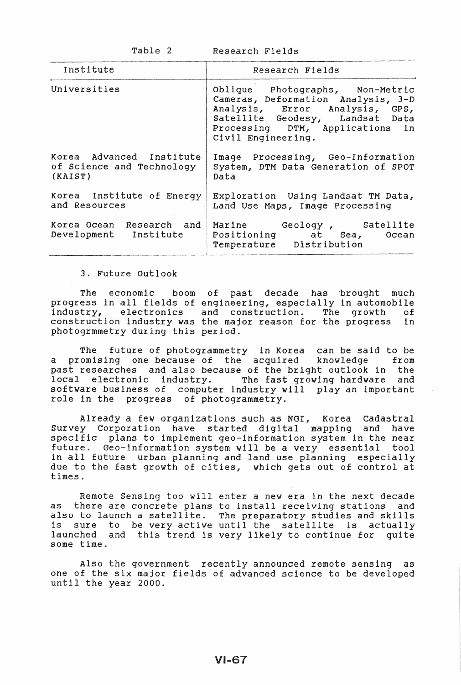Table 2

Research Fields

| Institute                                                        | Research Fields                                                                                                                                                                                     |  |  |  |
|------------------------------------------------------------------|-----------------------------------------------------------------------------------------------------------------------------------------------------------------------------------------------------|--|--|--|
| Universities                                                     | Oblique Photographs, Non-Metric<br>Cameras, Deformation Analysis, 3-D<br>Analysis, Error Analysis, GPS,<br>Satellite Geodesy, Landsat Data<br>Processing DTM, Applications in<br>Civil Engineering. |  |  |  |
| Korea Advanced Institute<br>of Science and Technology<br>(KAIST) | Image Processing, Geo-Information<br>System, DTM Data Generation of SPOT<br>Data                                                                                                                    |  |  |  |
| Korea Institute of Energy<br>and Resources                       | Exploration Using Landsat TM Data,<br>Land Use Maps, Image Processing                                                                                                                               |  |  |  |
| Development Institute                                            | Korea Ocean Research and Marine Geology, Satellite<br>Positioning at Sea, Ocean<br>Temperature Distribution                                                                                         |  |  |  |

3. Future Outlook

The economic boom of past decade progress in all fields of engineering, especially in automobile industry, electronics and construction. The growth of construction industry was the major reason for the progress in photogrmmetry during this period. has brought much

The future of photogrammetry in Korea can be said to be a promising one because of the acquired knowledge from past researches and also because of the bright outlook in the local electronic industry. The fast growing hardware and local electronic industry. The fast growing hardware and<br>software business of computer industry will play an important role in the progress of photogrammetry.

Already a few organizations such as NOI, Korea cadastral Survey Corporation have started digital mapping and have specific plans to implement geo-information system in the near future. Geo-information system will be a very essential tool in all future urban planning and land use planning especially due to the fast growth of cities, which gets out of control at times.

Remote Sensing too will enter a new era in the next decade as there are concrete plans to install receiving stations and also to launch a satellite. The preparatory studies and skills is sure to be very active until the satellite is actually launched and this trend is very likely to continue for quite some time.

Also the government recently announced remote sensing as one of the six major fields of advanced science to be developed until the year 2000.